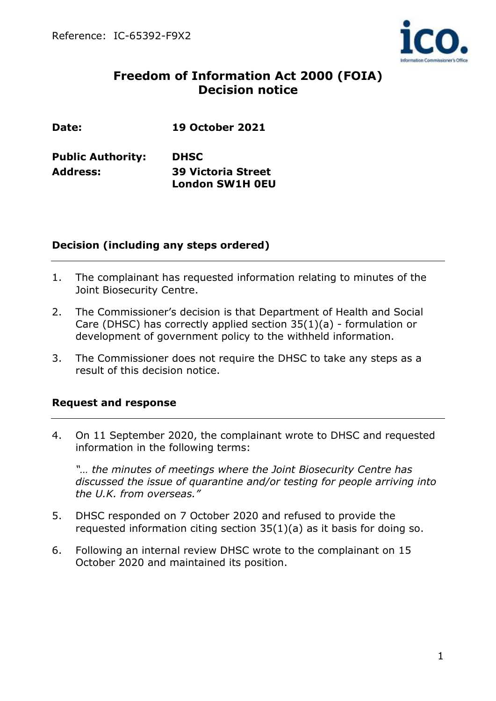

# **Freedom of Information Act 2000 (FOIA) Decision notice**

| Date: | <b>19 October 2021</b> |  |
|-------|------------------------|--|
|       |                        |  |

| <b>Public Authority:</b> | <b>DHSC</b>               |  |  |
|--------------------------|---------------------------|--|--|
| Address:                 | <b>39 Victoria Street</b> |  |  |
|                          | <b>London SW1H OEU</b>    |  |  |

#### **Decision (including any steps ordered)**

- 1. The complainant has requested information relating to minutes of the Joint Biosecurity Centre.
- 2. The Commissioner's decision is that Department of Health and Social Care (DHSC) has correctly applied section 35(1)(a) - formulation or development of government policy to the withheld information.
- 3. The Commissioner does not require the DHSC to take any steps as a result of this decision notice.

## **Request and response**

4. On 11 September 2020, the complainant wrote to DHSC and requested information in the following terms:

*"… the minutes of meetings where the Joint Biosecurity Centre has discussed the issue of quarantine and/or testing for people arriving into the U.K. from overseas."*

- 5. DHSC responded on 7 October 2020 and refused to provide the requested information citing section 35(1)(a) as it basis for doing so.
- 6. Following an internal review DHSC wrote to the complainant on 15 October 2020 and maintained its position.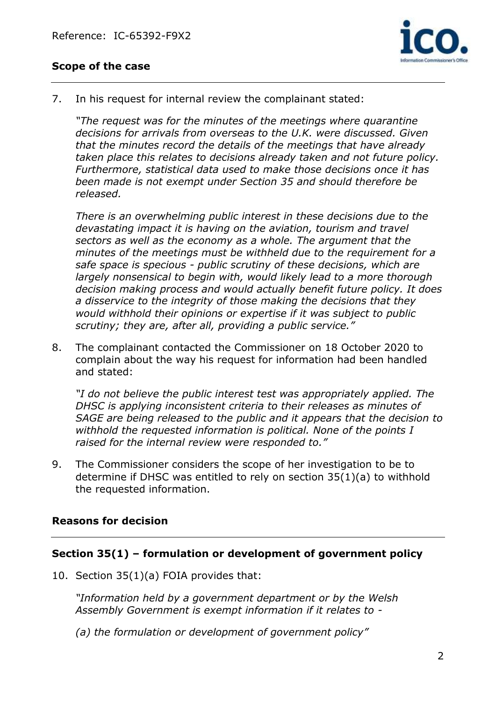

## **Scope of the case**

7. In his request for internal review the complainant stated:

*"The request was for the minutes of the meetings where quarantine decisions for arrivals from overseas to the U.K. were discussed. Given that the minutes record the details of the meetings that have already taken place this relates to decisions already taken and not future policy. Furthermore, statistical data used to make those decisions once it has been made is not exempt under Section 35 and should therefore be released.*

*There is an overwhelming public interest in these decisions due to the devastating impact it is having on the aviation, tourism and travel sectors as well as the economy as a whole. The argument that the minutes of the meetings must be withheld due to the requirement for a safe space is specious - public scrutiny of these decisions, which are largely nonsensical to begin with, would likely lead to a more thorough decision making process and would actually benefit future policy. It does a disservice to the integrity of those making the decisions that they would withhold their opinions or expertise if it was subject to public scrutiny; they are, after all, providing a public service."*

8. The complainant contacted the Commissioner on 18 October 2020 to complain about the way his request for information had been handled and stated:

*"I do not believe the public interest test was appropriately applied. The DHSC is applying inconsistent criteria to their releases as minutes of SAGE are being released to the public and it appears that the decision to withhold the requested information is political. None of the points I raised for the internal review were responded to."*

9. The Commissioner considers the scope of her investigation to be to determine if DHSC was entitled to rely on section 35(1)(a) to withhold the requested information.

## **Reasons for decision**

#### **Section 35(1) – formulation or development of government policy**

10. Section 35(1)(a) FOIA provides that:

*"Information held by a government department or by the Welsh Assembly Government is exempt information if it relates to -*

*(a) the formulation or development of government policy"*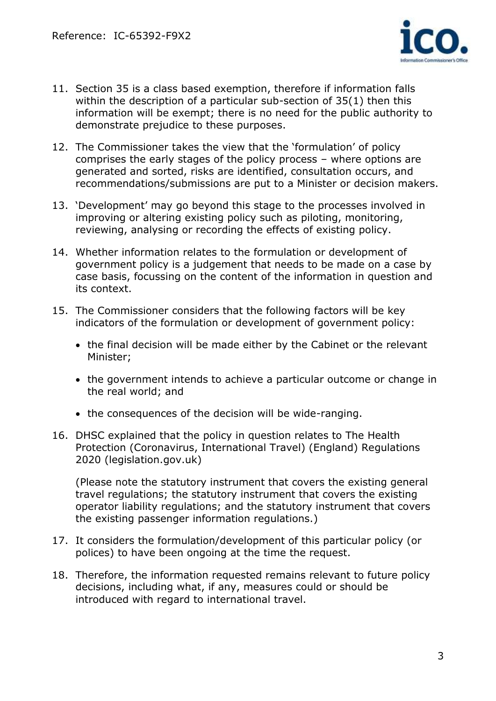

- 11. Section 35 is a class based exemption, therefore if information falls within the description of a particular sub-section of 35(1) then this information will be exempt; there is no need for the public authority to demonstrate prejudice to these purposes.
- 12. The Commissioner takes the view that the 'formulation' of policy comprises the early stages of the policy process – where options are generated and sorted, risks are identified, consultation occurs, and recommendations/submissions are put to a Minister or decision makers.
- 13. 'Development' may go beyond this stage to the processes involved in improving or altering existing policy such as piloting, monitoring, reviewing, analysing or recording the effects of existing policy.
- 14. Whether information relates to the formulation or development of government policy is a judgement that needs to be made on a case by case basis, focussing on the content of the information in question and its context.
- 15. The Commissioner considers that the following factors will be key indicators of the formulation or development of government policy:
	- the final decision will be made either by the Cabinet or the relevant Minister;
	- the government intends to achieve a particular outcome or change in the real world; and
	- the consequences of the decision will be wide-ranging.
- 16. DHSC explained that the policy in question relates to The Health Protection (Coronavirus, International Travel) (England) Regulations 2020 (legislation.gov.uk)

(Please note the statutory instrument that covers the existing general travel regulations; the statutory instrument that covers the existing operator liability regulations; and the statutory instrument that covers the existing passenger information regulations.)

- 17. It considers the formulation/development of this particular policy (or polices) to have been ongoing at the time the request.
- 18. Therefore, the information requested remains relevant to future policy decisions, including what, if any, measures could or should be introduced with regard to international travel.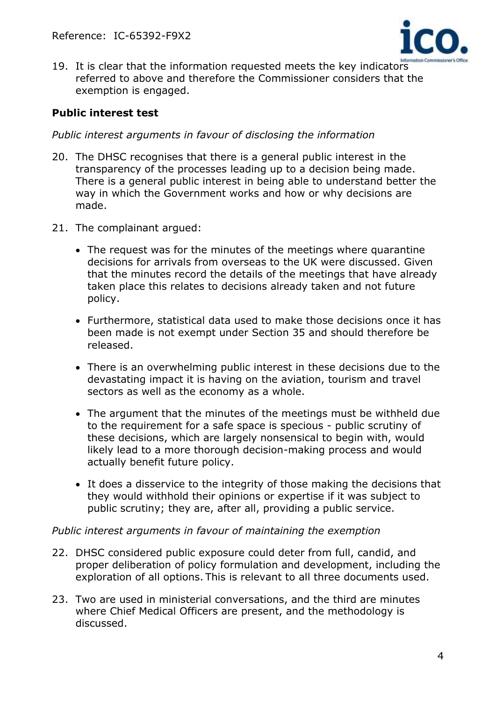

19. It is clear that the information requested meets the key indicators referred to above and therefore the Commissioner considers that the exemption is engaged.

#### **Public interest test**

*Public interest arguments in favour of disclosing the information* 

- 20. The DHSC recognises that there is a general public interest in the transparency of the processes leading up to a decision being made. There is a general public interest in being able to understand better the way in which the Government works and how or why decisions are made.
- 21. The complainant argued:
	- The request was for the minutes of the meetings where quarantine decisions for arrivals from overseas to the UK were discussed. Given that the minutes record the details of the meetings that have already taken place this relates to decisions already taken and not future policy.
	- Furthermore, statistical data used to make those decisions once it has been made is not exempt under Section 35 and should therefore be released.
	- There is an overwhelming public interest in these decisions due to the devastating impact it is having on the aviation, tourism and travel sectors as well as the economy as a whole.
	- The argument that the minutes of the meetings must be withheld due to the requirement for a safe space is specious - public scrutiny of these decisions, which are largely nonsensical to begin with, would likely lead to a more thorough decision-making process and would actually benefit future policy.
	- It does a disservice to the integrity of those making the decisions that they would withhold their opinions or expertise if it was subject to public scrutiny; they are, after all, providing a public service.

#### *Public interest arguments in favour of maintaining the exemption*

- 22. DHSC considered public exposure could deter from full, candid, and proper deliberation of policy formulation and development, including the exploration of all options. This is relevant to all three documents used.
- 23. Two are used in ministerial conversations, and the third are minutes where Chief Medical Officers are present, and the methodology is discussed.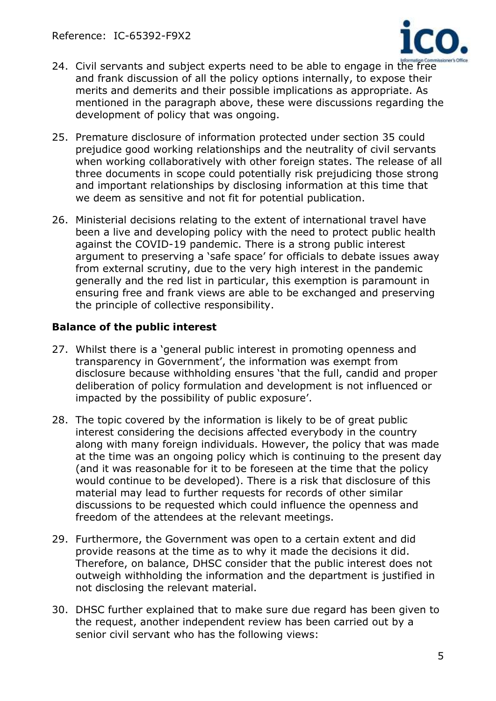

- 24. Civil servants and subject experts need to be able to engage in the free and frank discussion of all the policy options internally, to expose their merits and demerits and their possible implications as appropriate. As mentioned in the paragraph above, these were discussions regarding the development of policy that was ongoing.
- 25. Premature disclosure of information protected under section 35 could prejudice good working relationships and the neutrality of civil servants when working collaboratively with other foreign states. The release of all three documents in scope could potentially risk prejudicing those strong and important relationships by disclosing information at this time that we deem as sensitive and not fit for potential publication.
- 26. Ministerial decisions relating to the extent of international travel have been a live and developing policy with the need to protect public health against the COVID-19 pandemic. There is a strong public interest argument to preserving a 'safe space' for officials to debate issues away from external scrutiny, due to the very high interest in the pandemic generally and the red list in particular, this exemption is paramount in ensuring free and frank views are able to be exchanged and preserving the principle of collective responsibility.

## **Balance of the public interest**

- 27. Whilst there is a 'general public interest in promoting openness and transparency in Government', the information was exempt from disclosure because withholding ensures 'that the full, candid and proper deliberation of policy formulation and development is not influenced or impacted by the possibility of public exposure'.
- 28. The topic covered by the information is likely to be of great public interest considering the decisions affected everybody in the country along with many foreign individuals. However, the policy that was made at the time was an ongoing policy which is continuing to the present day (and it was reasonable for it to be foreseen at the time that the policy would continue to be developed). There is a risk that disclosure of this material may lead to further requests for records of other similar discussions to be requested which could influence the openness and freedom of the attendees at the relevant meetings.
- 29. Furthermore, the Government was open to a certain extent and did provide reasons at the time as to why it made the decisions it did. Therefore, on balance, DHSC consider that the public interest does not outweigh withholding the information and the department is justified in not disclosing the relevant material.
- 30. DHSC further explained that to make sure due regard has been given to the request, another independent review has been carried out by a senior civil servant who has the following views: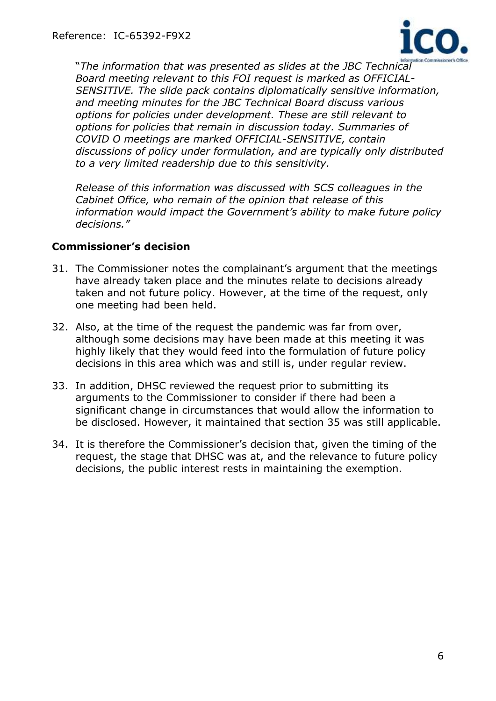

"*The information that was presented as slides at the JBC Technical Board meeting relevant to this FOI request is marked as OFFICIAL-SENSITIVE. The slide pack contains diplomatically sensitive information, and meeting minutes for the JBC Technical Board discuss various options for policies under development. These are still relevant to options for policies that remain in discussion today. Summaries of COVID O meetings are marked OFFICIAL-SENSITIVE, contain discussions of policy under formulation, and are typically only distributed to a very limited readership due to this sensitivity.* 

*Release of this information was discussed with SCS colleagues in the Cabinet Office, who remain of the opinion that release of this information would impact the Government's ability to make future policy decisions."*

#### **Commissioner's decision**

- 31. The Commissioner notes the complainant's argument that the meetings have already taken place and the minutes relate to decisions already taken and not future policy. However, at the time of the request, only one meeting had been held.
- 32. Also, at the time of the request the pandemic was far from over, although some decisions may have been made at this meeting it was highly likely that they would feed into the formulation of future policy decisions in this area which was and still is, under regular review.
- 33. In addition, DHSC reviewed the request prior to submitting its arguments to the Commissioner to consider if there had been a significant change in circumstances that would allow the information to be disclosed. However, it maintained that section 35 was still applicable.
- 34. It is therefore the Commissioner's decision that, given the timing of the request, the stage that DHSC was at, and the relevance to future policy decisions, the public interest rests in maintaining the exemption.